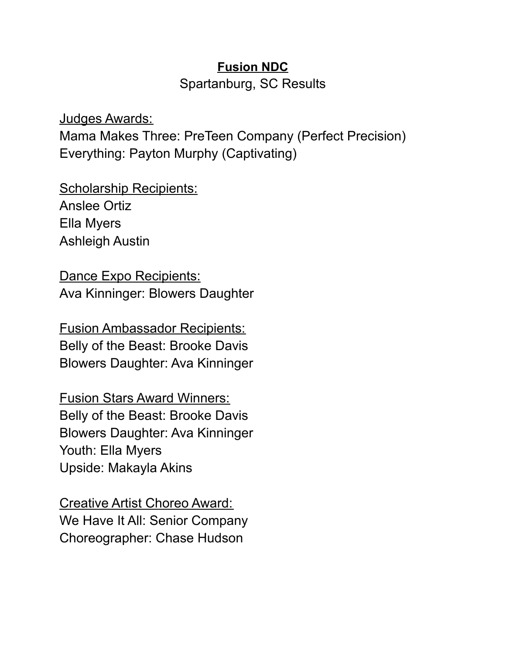## **Fusion NDC**

Spartanburg, SC Results

Judges Awards: Mama Makes Three: PreTeen Company (Perfect Precision) Everything: Payton Murphy (Captivating)

Scholarship Recipients: Anslee Ortiz Ella Myers Ashleigh Austin

Dance Expo Recipients: Ava Kinninger: Blowers Daughter

Fusion Ambassador Recipients: Belly of the Beast: Brooke Davis Blowers Daughter: Ava Kinninger

Fusion Stars Award Winners: Belly of the Beast: Brooke Davis Blowers Daughter: Ava Kinninger Youth: Ella Myers Upside: Makayla Akins

Creative Artist Choreo Award: We Have It All: Senior Company Choreographer: Chase Hudson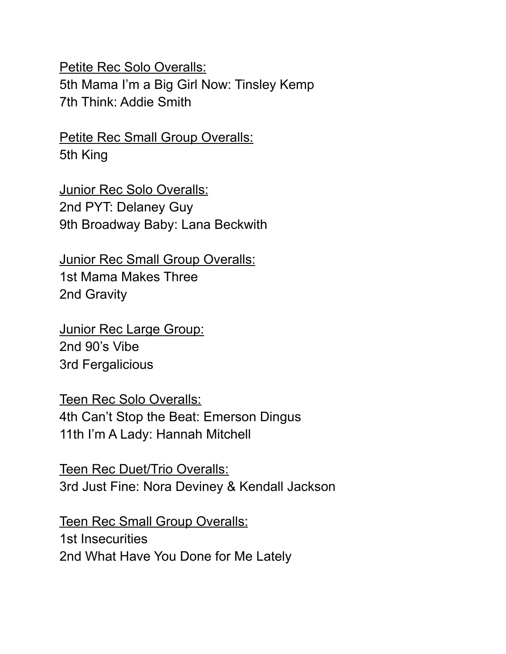Petite Rec Solo Overalls: 5th Mama I'm a Big Girl Now: Tinsley Kemp 7th Think: Addie Smith

Petite Rec Small Group Overalls: 5th King

Junior Rec Solo Overalls: 2nd PYT: Delaney Guy 9th Broadway Baby: Lana Beckwith

Junior Rec Small Group Overalls: 1st Mama Makes Three 2nd Gravity

Junior Rec Large Group: 2nd 90's Vibe 3rd Fergalicious

Teen Rec Solo Overalls: 4th Can't Stop the Beat: Emerson Dingus 11th I'm A Lady: Hannah Mitchell

Teen Rec Duet/Trio Overalls: 3rd Just Fine: Nora Deviney & Kendall Jackson

Teen Rec Small Group Overalls: 1st Insecurities 2nd What Have You Done for Me Lately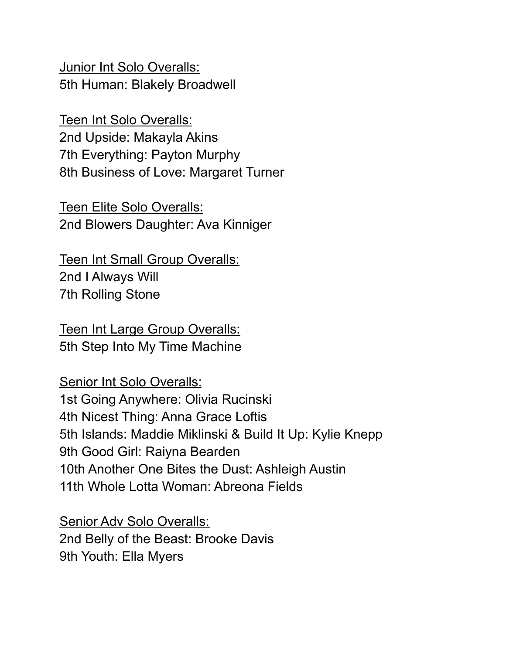Junior Int Solo Overalls: 5th Human: Blakely Broadwell

Teen Int Solo Overalls: 2nd Upside: Makayla Akins 7th Everything: Payton Murphy 8th Business of Love: Margaret Turner

Teen Elite Solo Overalls: 2nd Blowers Daughter: Ava Kinniger

Teen Int Small Group Overalls: 2nd I Always Will 7th Rolling Stone

Teen Int Large Group Overalls: 5th Step Into My Time Machine

Senior Int Solo Overalls: 1st Going Anywhere: Olivia Rucinski 4th Nicest Thing: Anna Grace Loftis 5th Islands: Maddie Miklinski & Build It Up: Kylie Knepp 9th Good Girl: Raiyna Bearden 10th Another One Bites the Dust: Ashleigh Austin 11th Whole Lotta Woman: Abreona Fields

Senior Adv Solo Overalls: 2nd Belly of the Beast: Brooke Davis 9th Youth: Ella Myers